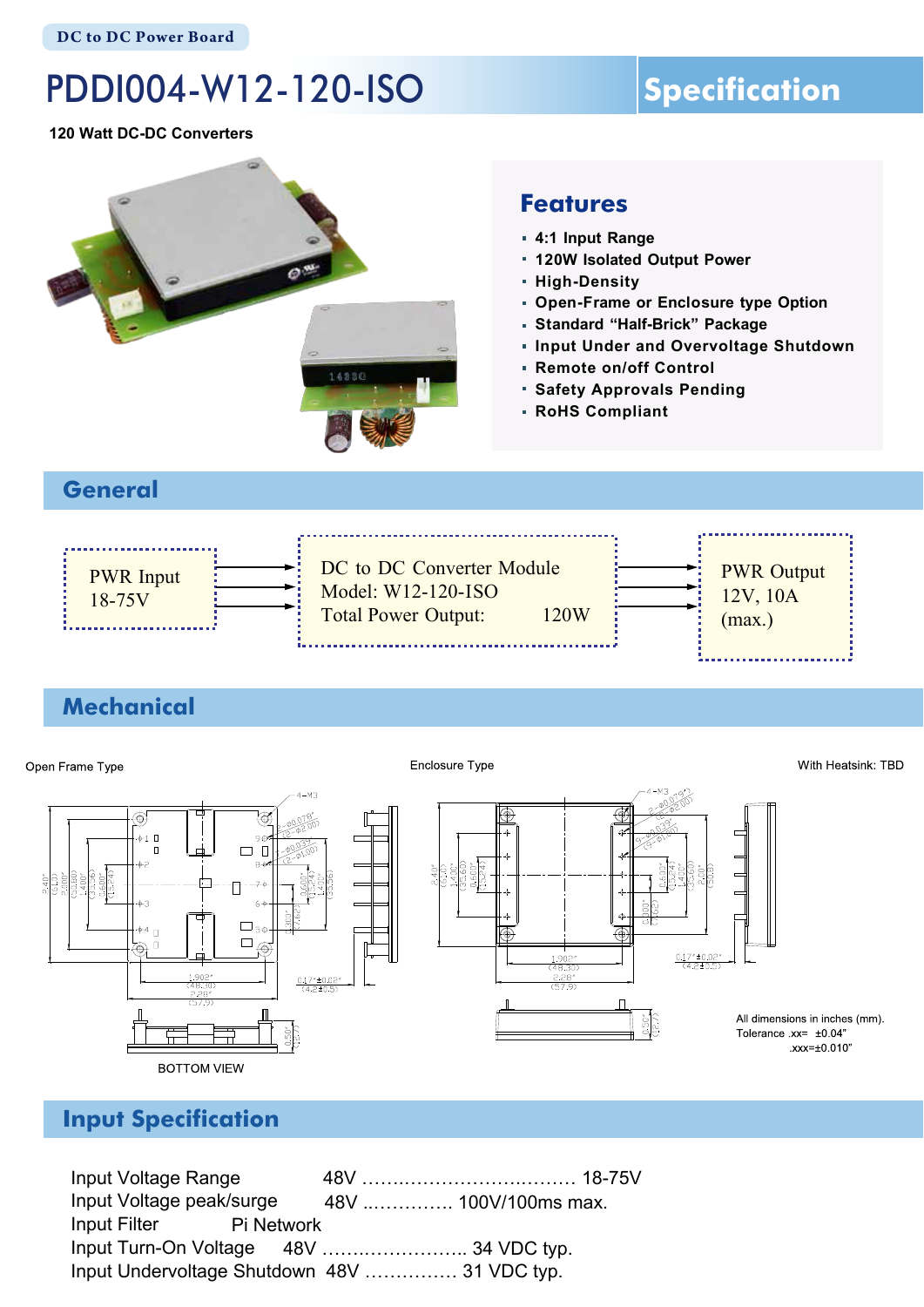# PDDI004-W12-120-ISO

## **Specification**

**120 Watt DC-DC Converters**



#### **Features**

- **4:1 Input Range**
- **120W Isolated Output Power**
- **High-Density**
- **Open-Frame or Enclosure type Option**
- **Standard "Half-Brick" Package**
- **Input Under and Overvoltage Shutdown**
- **Remote on/off Control**
- **Safety Approvals Pending**
- **RoHS Compliant**

#### **General**



#### **Mechanical**



#### **Input Specification**

Input Voltage Range 48V …….……………….……… 18-75V Input Voltage peak/surge Input Filter Input Turn-On Voltage 48V ..…………. 100V/100ms max. Pi Network 48V …….…………….. 34 VDC typ. Input Undervoltage Shutdown 48V …………… 31 VDC typ.